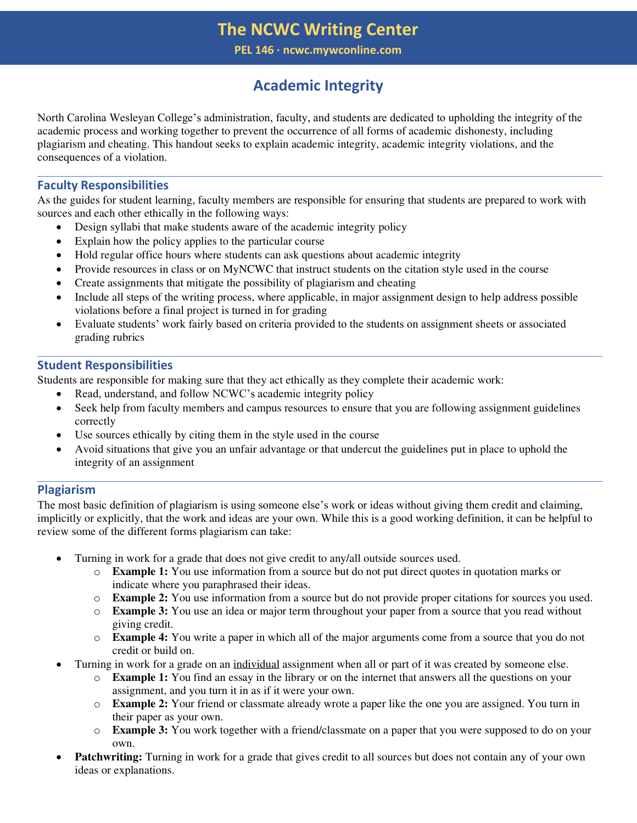## **The NCWC Writing Center**

**PEL 146 ∙ ncwc.mywconline.com** 

# **Academic Integrity**

North Carolina Wesleyan College's administration, faculty, and students are dedicated to upholding the integrity of the academic process and working together to prevent the occurrence of all forms of academic dishonesty, including plagiarism and cheating. This handout seeks to explain academic integrity, academic integrity violations, and the consequences of a violation.

### **Faculty Responsibilities**

As the guides for student learning, faculty members are responsible for ensuring that students are prepared to work with sources and each other ethically in the following ways:

- Design syllabi that make students aware of the academic integrity policy
- Explain how the policy applies to the particular course
- Hold regular office hours where students can ask questions about academic integrity
- Provide resources in class or on MyNCWC that instruct students on the citation style used in the course
- Create assignments that mitigate the possibility of plagiarism and cheating
- Include all steps of the writing process, where applicable, in major assignment design to help address possible violations before a final project is turned in for grading
- Evaluate students' work fairly based on criteria provided to the students on assignment sheets or associated grading rubrics

#### **Student Responsibilities**

Students are responsible for making sure that they act ethically as they complete their academic work:

- Read, understand, and follow NCWC's academic integrity policy
- Seek help from faculty members and campus resources to ensure that you are following assignment guidelines correctly
- Use sources ethically by citing them in the style used in the course
- Avoid situations that give you an unfair advantage or that undercut the guidelines put in place to uphold the integrity of an assignment

### **Plagiarism**

The most basic definition of plagiarism is using someone else's work or ideas without giving them credit and claiming, implicitly or explicitly, that the work and ideas are your own. While this is a good working definition, it can be helpful to review some of the different forms plagiarism can take:

- Turning in work for a grade that does not give credit to any/all outside sources used.
	- o **Example 1:** You use information from a source but do not put direct quotes in quotation marks or indicate where you paraphrased their ideas.
	- o **Example 2:** You use information from a source but do not provide proper citations for sources you used.
	- o **Example 3:** You use an idea or major term throughout your paper from a source that you read without giving credit.
	- o **Example 4:** You write a paper in which all of the major arguments come from a source that you do not credit or build on.
- Turning in work for a grade on an individual assignment when all or part of it was created by someone else.
	- o **Example 1:** You find an essay in the library or on the internet that answers all the questions on your assignment, and you turn it in as if it were your own.
	- o **Example 2:** Your friend or classmate already wrote a paper like the one you are assigned. You turn in their paper as your own.
	- o **Example 3:** You work together with a friend/classmate on a paper that you were supposed to do on your own.
- **Patchwriting:** Turning in work for a grade that gives credit to all sources but does not contain any of your own ideas or explanations.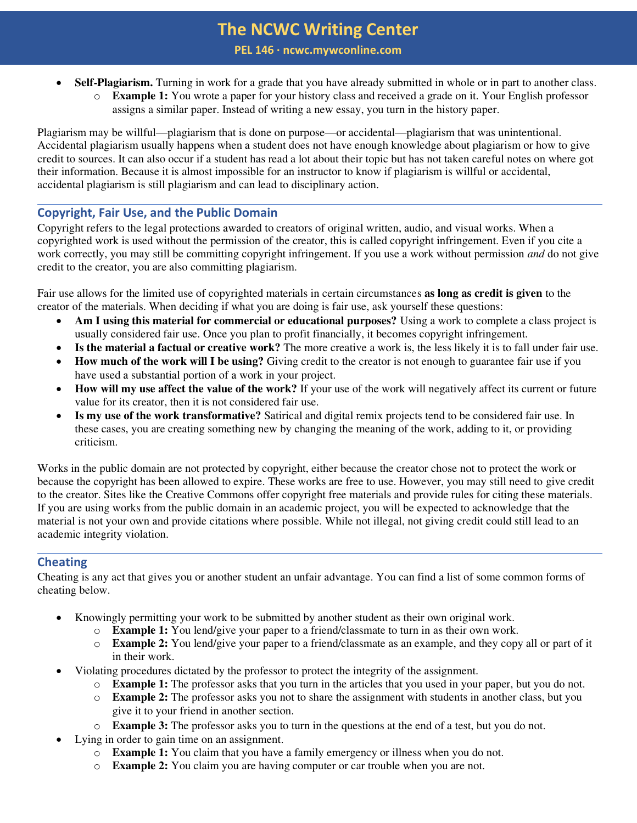## **The NCWC Writing Center**

**PEL 146 ∙ ncwc.mywconline.com** 

- **Self-Plagiarism.** Turning in work for a grade that you have already submitted in whole or in part to another class.
	- o **Example 1:** You wrote a paper for your history class and received a grade on it. Your English professor assigns a similar paper. Instead of writing a new essay, you turn in the history paper.

Plagiarism may be willful—plagiarism that is done on purpose—or accidental—plagiarism that was unintentional. Accidental plagiarism usually happens when a student does not have enough knowledge about plagiarism or how to give credit to sources. It can also occur if a student has read a lot about their topic but has not taken careful notes on where got their information. Because it is almost impossible for an instructor to know if plagiarism is willful or accidental, accidental plagiarism is still plagiarism and can lead to disciplinary action.

#### **Copyright, Fair Use, and the Public Domain**

Copyright refers to the legal protections awarded to creators of original written, audio, and visual works. When a copyrighted work is used without the permission of the creator, this is called copyright infringement. Even if you cite a work correctly, you may still be committing copyright infringement. If you use a work without permission *and* do not give credit to the creator, you are also committing plagiarism.

Fair use allows for the limited use of copyrighted materials in certain circumstances **as long as credit is given** to the creator of the materials. When deciding if what you are doing is fair use, ask yourself these questions:

- **Am I using this material for commercial or educational purposes?** Using a work to complete a class project is usually considered fair use. Once you plan to profit financially, it becomes copyright infringement.
- **Is the material a factual or creative work?** The more creative a work is, the less likely it is to fall under fair use.
- **How much of the work will I be using?** Giving credit to the creator is not enough to guarantee fair use if you have used a substantial portion of a work in your project.
- **How will my use affect the value of the work?** If your use of the work will negatively affect its current or future value for its creator, then it is not considered fair use.
- **Is my use of the work transformative?** Satirical and digital remix projects tend to be considered fair use. In these cases, you are creating something new by changing the meaning of the work, adding to it, or providing criticism.

Works in the public domain are not protected by copyright, either because the creator chose not to protect the work or because the copyright has been allowed to expire. These works are free to use. However, you may still need to give credit to the creator. Sites like the Creative Commons offer copyright free materials and provide rules for citing these materials. If you are using works from the public domain in an academic project, you will be expected to acknowledge that the material is not your own and provide citations where possible. While not illegal, not giving credit could still lead to an academic integrity violation.

### **Cheating**

Cheating is any act that gives you or another student an unfair advantage. You can find a list of some common forms of cheating below.

- Knowingly permitting your work to be submitted by another student as their own original work.
	- o **Example 1:** You lend/give your paper to a friend/classmate to turn in as their own work.
	- o **Example 2:** You lend/give your paper to a friend/classmate as an example, and they copy all or part of it in their work.
- Violating procedures dictated by the professor to protect the integrity of the assignment.
	- o **Example 1:** The professor asks that you turn in the articles that you used in your paper, but you do not.
	- o **Example 2:** The professor asks you not to share the assignment with students in another class, but you give it to your friend in another section.
	- o **Example 3:** The professor asks you to turn in the questions at the end of a test, but you do not.
- Lying in order to gain time on an assignment.
	- o **Example 1:** You claim that you have a family emergency or illness when you do not.
	- o **Example 2:** You claim you are having computer or car trouble when you are not.